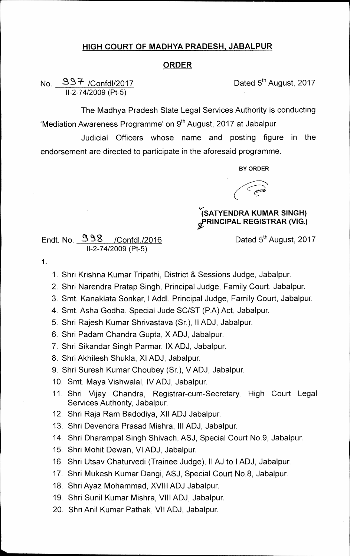## **HIGH COURT OF MADHYA PRADESH, JABALPUR**

## **ORDER**

**No. S /Confd1/2017 Dated 5thAugust, 2017 11-2-74/2009 (Pt-5)** 

**The Madhya Pradesh State Legal Services Authority is conducting**  'Mediation Awareness Programme' on 9<sup>th</sup> August, 2017 at Jabalpur.

**Judicial Officers whose name and posting figure in the endorsement are directed to participate in the aforesaid programme.** 

**BY ORDER** 

**''(SATYENDRA KUMAR SINGH)**   $\mathscr{L}$ PRINCIPAL REGISTRAR (VIG.)

**Endt. No. 2 Sg /Confdl./2016 Dated 5thAugust, 2017 11-2-74/2009 (Pt-5)** 

**1.** 

**1. Shri Krishna Kumar Tripathi, District & Sessions Judge, Jabalpur.** 

- **2. Shri Narendra Pratap Singh, Principal Judge, Family Court, Jabalpur.**
- **3. Smt. Kanaklata Sonkar, I Addl. Principal Judge, Family Court, Jabalpur.**
- **4. Smt. Asha Godha, Special Jude SC/ST (P.A) Act, Jabalpur.**
- **5. Shri Rajesh Kumar Shrivastava (Sr.), II ADJ, Jabalpur.**
- **6. Shri Padam Chandra Gupta, X ADJ, Jabalpur.**
- **7. Shri Sikandar Singh Parmar, IX ADJ, Jabalpur.**
- **8. Shri Akhilesh Shukla, XI ADJ, Jabalpur.**
- **9. Shri Suresh Kumar Choubey (Sr.), V ADJ, Jabalpur.**
- **10. Smt. Maya Vishwalal, IV ADJ, Jabalpur.**
- **11. Shri Vijay Chandra, Registrar-cum-Secretary, High Court Legal Services Authority, Jabalpur.**
- **12. Shri Raja Ram Badodiya, XII ADJ Jabalpur.**
- **13. Shri Devendra Prasad Mishra, III ADJ, Jabalpur.**
- **14. Shri Dharampal Singh Shivach, ASJ, Special Court No.9, Jabalpur.**
- **15. Shri Mohit Dewan, VI ADJ, Jabalpur.**
- **16. Shri Utsav Chaturvedi (Trainee Judge), II AJ to I ADJ, Jabalpur.**
- **17. Shri Mukesh Kumar Dangi, ASJ, Special Court No.8, Jabalpur.**
- **18. Shri Ayaz Mohammad, XVIII ADJ Jabalpur.**
- **19. Shri Sunil Kumar Mishra, VIII ADJ, Jabalpur.**
- **20. Shri Anil Kumar Pathak, VII ADJ, Jabalpur.**